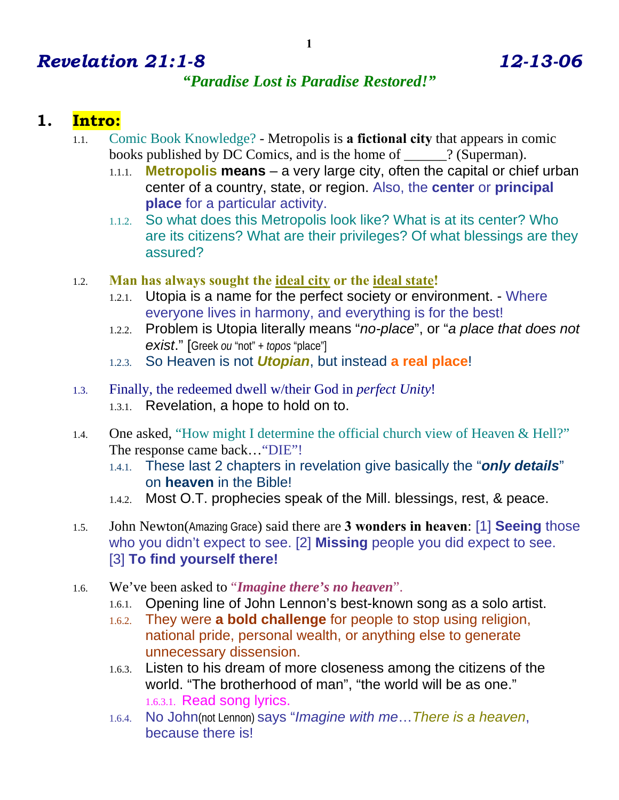# *Revelation 21:1-8 12-13-06*

### *"Paradise Lost is Paradise Restored!"*

## **1. Intro:**

- 1.1. Comic Book Knowledge? Metropolis is **a fictional city** that appears in comic books published by DC Comics, and is the home of \_\_\_\_\_\_? (Superman).
	- 1.1.1. **Metropolis means** a very large city, often the capital or chief urban center of a country, state, or region. Also, the **center** or **principal place** for a particular activity.
	- 1.1.2. So what does this Metropolis look like? What is at its center? Who are its citizens? What are their privileges? Of what blessings are they assured?
- 1.2. **Man has always sought the ideal city or the ideal state!** 
	- 1.2.1. Utopia is a name for the perfect society or environment. Where everyone lives in harmony, and everything is for the best!
	- 1.2.2. Problem is Utopia literally means "*no-place*", or "*a place that does not exist*." [Greek *ou* "not" + *topos* "place"]
	- 1.2.3. So Heaven is not *Utopian*, but instead **a real place**!
- 1.3. Finally, the redeemed dwell w/their God in *perfect Unity*! 1.3.1. Revelation, a hope to hold on to.
- 1.4. One asked, "How might I determine the official church view of Heaven & Hell?" The response came back…"DIE"!
	- 1.4.1. These last 2 chapters in revelation give basically the "*only details*" on **heaven** in the Bible!
	- 1.4.2. Most O.T. prophecies speak of the Mill. blessings, rest, & peace.
- 1.5. John Newton(Amazing Grace) said there are **3 wonders in heaven**: [1] **Seeing** those who you didn't expect to see. [2] **Missing** people you did expect to see. [3] **To find yourself there!**
- 1.6. We've been asked to "*Imagine there's no heaven*".
	- 1.6.1. Opening line of John Lennon's best-known song as a solo artist.
	- 1.6.2. They were **a bold challenge** for people to stop using religion, national pride, personal wealth, or anything else to generate unnecessary dissension.
	- 1.6.3. Listen to his dream of more closeness among the citizens of the world. "The brotherhood of man", "the world will be as one." 1.6.3.1. Read song lyrics.
	- 1.6.4. No John(not Lennon) says "*Imagine with me*…*There is a heaven*, because there is!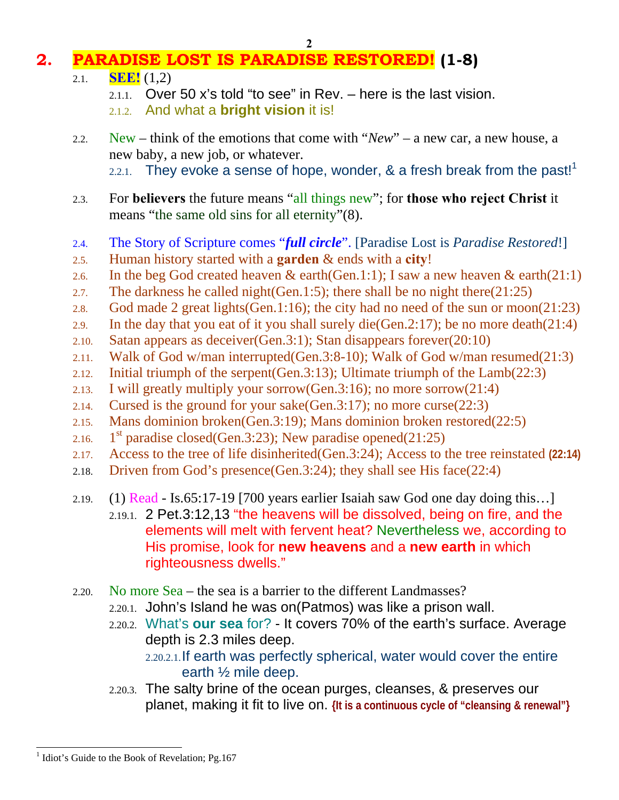#### **2**

# **2. PARADISE LOST IS PARADISE RESTORED! (1-8)**

- 2.1. **SEE!** (1,2)
	- $2.1.1.$  Over 50 x's told "to see" in Rev. here is the last vision.
	- 2.1.2. And what a **bright vision** it is!
- 2.2. New think of the emotions that come with "*New*" a new car, a new house, a new baby, a new job, or whatever. 2.2.1. They evoke a sense of hope, wonder,  $\&$  a fresh break from the past!<sup>1</sup>
- 2.3. For **believers** the future means "all things new"; for **those who reject Christ** it means "the same old sins for all eternity"(8).
- 2.4. The Story of Scripture comes "*full circle*". [Paradise Lost is *Paradise Restored*!]
- 2.5. Human history started with a **garden** & ends with a **city**!
- 2.6. In the beg God created heaven & earth(Gen.1:1); I saw a new heaven & earth(21:1)
- 2.7. The darkness he called night(Gen.1:5); there shall be no night there(21:25)
- 2.8. God made 2 great lights(Gen.1:16); the city had no need of the sun or moon(21:23)
- 2.9. In the day that you eat of it you shall surely die(Gen.2:17); be no more death(21:4)
- 2.10. Satan appears as deceiver(Gen.3:1); Stan disappears forever(20:10)
- 2.11. Walk of God w/man interrupted(Gen.3:8-10); Walk of God w/man resumed(21:3)
- 2.12. Initial triumph of the serpent(Gen.3:13); Ultimate triumph of the Lamb(22:3)
- 2.13. I will greatly multiply your sorrow(Gen.3:16); no more sorrow(21:4)
- 2.14. Cursed is the ground for your sake(Gen.3:17); no more curse(22:3)
- 2.15. Mans dominion broken(Gen.3:19); Mans dominion broken restored(22:5)
- 2.16. 1<sup>st</sup> paradise closed(Gen.3:23); New paradise opened(21:25)
- 2.17. Access to the tree of life disinherited(Gen.3:24); Access to the tree reinstated **(22:14)**
- 2.18. Driven from God's presence(Gen.3:24); they shall see His face(22:4)
- 2.19. (1) Read Is.65:17-19 [700 years earlier Isaiah saw God one day doing this…] 2.19.1. 2 Pet.3:12,13 "the heavens will be dissolved, being on fire, and the elements will melt with fervent heat? Nevertheless we, according to His promise, look for **new heavens** and a **new earth** in which righteousness dwells."
- 2.20. No more Sea the sea is a barrier to the different Landmasses?
	- 2.20.1. John's Island he was on(Patmos) was like a prison wall.
	- 2.20.2. What's **our sea** for? It covers 70% of the earth's surface. Average depth is 2.3 miles deep. 2.20.2.1.If earth was perfectly spherical, water would cover the entire earth ½ mile deep.
	- 2.20.3. The salty brine of the ocean purges, cleanses, & preserves our planet, making it fit to live on. **{It is a continuous cycle of "cleansing & renewal"}**

 $\overline{a}$ <sup>1</sup> Idiot's Guide to the Book of Revelation; Pg.167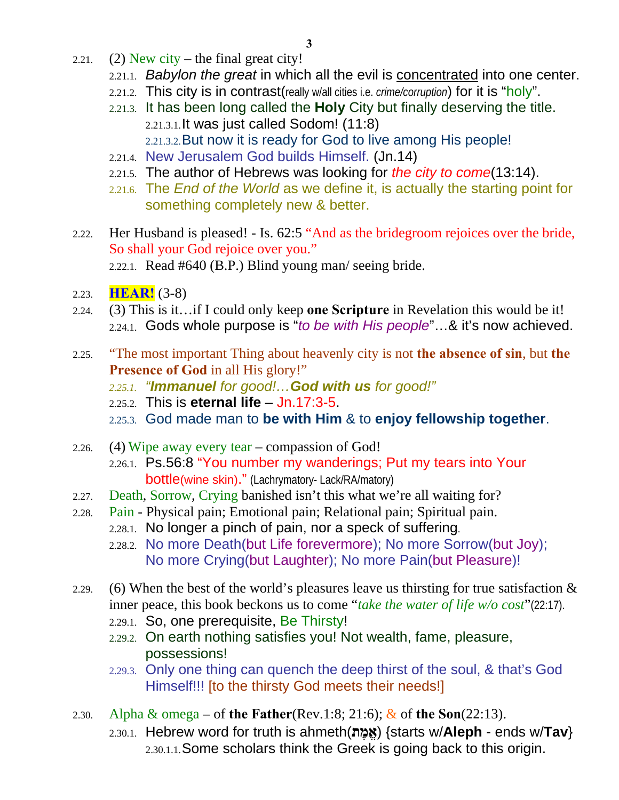- 2.21. (2) New city the final great city!
	- 2.21.1. *Babylon the great* in which all the evil is concentrated into one center.
	- 2.21.2. This city is in contrast(really w/all cities i.e. *crime/corruption*) for it is "holy".
	- 2.21.3. It has been long called the **Holy** City but finally deserving the title. 2.21.3.1.It was just called Sodom! (11:8) 2.21.3.2.But now it is ready for God to live among His people!
	- 2.21.4. New Jerusalem God builds Himself. (Jn.14)
	- 2.21.5. The author of Hebrews was looking for *the city to come*(13:14).
	- 2.21.6. The *End of the World* as we define it, is actually the starting point for something completely new & better.
- 2.22. Her Husband is pleased! Is. 62:5 "And as the bridegroom rejoices over the bride, So shall your God rejoice over you." 2.22.1. Read #640 (B.P.) Blind young man/ seeing bride.
- 2.23. **HEAR!** (3-8)
- 2.24. (3) This is it…if I could only keep **one Scripture** in Revelation this would be it! 2.24.1. Gods whole purpose is "*to be with His people*"…& it's now achieved.
- 2.25. "The most important Thing about heavenly city is not **the absence of sin**, but **the Presence of God** in all His glory!"
	- *2.25.1. "Immanuel for good!…God with us for good!"*
	- 2.25.2. This is **eternal life** Jn.17:3-5.
	- 2.25.3. God made man to **be with Him** & to **enjoy fellowship together**.
- 2.26. (4) Wipe away every tear compassion of God! 2.26.1. Ps.56:8 "You number my wanderings; Put my tears into Your bottle(wine skin)." (Lachrymatory- Lack/RA/matory)
- 2.27. Death, Sorrow, Crying banished isn't this what we're all waiting for?
- 2.28. Pain Physical pain; Emotional pain; Relational pain; Spiritual pain. 2.28.1. No longer a pinch of pain, nor a speck of suffering.
	- 2.28.2. No more Death(but Life forevermore); No more Sorrow(but Joy); No more Crying(but Laughter); No more Pain(but Pleasure)!
- 2.29. (6) When the best of the world's pleasures leave us thirsting for true satisfaction  $\&$ inner peace, this book beckons us to come "*take the water of life w/o cost*"(22:17).
	- 2.29.1. So, one prerequisite, Be Thirsty!
	- 2.29.2. On earth nothing satisfies you! Not wealth, fame, pleasure, possessions!
	- 2.29.3. Only one thing can quench the deep thirst of the soul, & that's God Himself!!! [to the thirsty God meets their needs!]
- 2.30. Alpha & omega of **the Father**(Rev.1:8; 21:6); & of **the Son**(22:13). 2.30.1. Hebrew word for truth is ahmeth(**ת ֶמ ֱא**} (starts w/**Aleph** - ends w/**Tav**} 2.30.1.1.Some scholars think the Greek is going back to this origin.